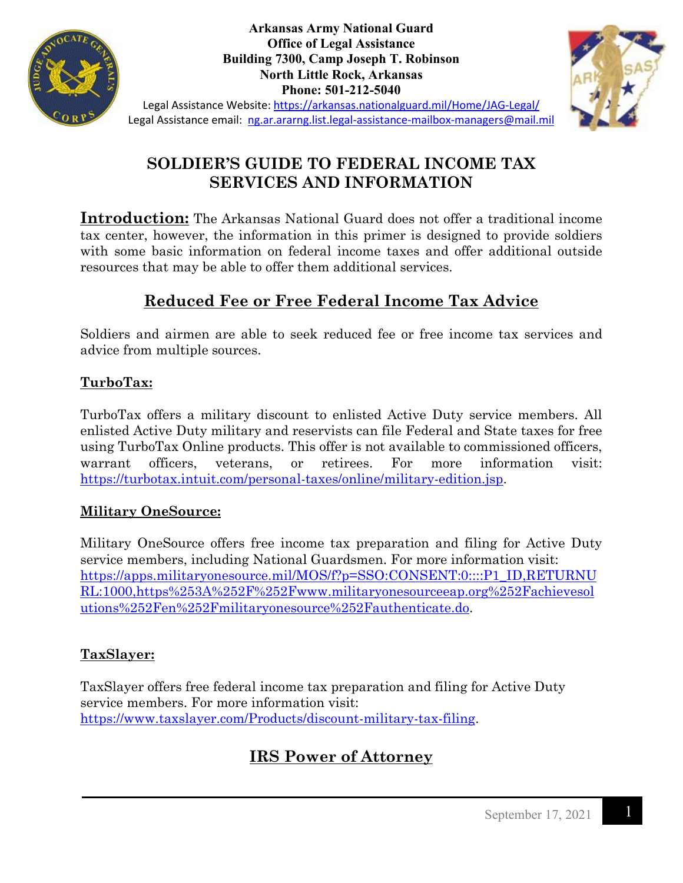

**Arkansas Army National Guard Office of Legal Assistance Building 7300, Camp Joseph T. Robinson North Little Rock, Arkansas Phone: 501-212-5040**



Legal Assistance Website:<https://arkansas.nationalguard.mil/Home/JAG-Legal/> Legal Assistance email: [ng.ar.ararng.list.legal-assistance-mailbox-managers@mail.mil](mailto:ng.ar.ararng.list.legal-assistance-mailbox-managers@mail.mil)

## **SOLDIER'S GUIDE TO FEDERAL INCOME TAX SERVICES AND INFORMATION**

**Introduction:** The Arkansas National Guard does not offer a traditional income tax center, however, the information in this primer is designed to provide soldiers with some basic information on federal income taxes and offer additional outside resources that may be able to offer them additional services.

## **Reduced Fee or Free Federal Income Tax Advice**

Soldiers and airmen are able to seek reduced fee or free income tax services and advice from multiple sources.

#### **TurboTax:**

TurboTax offers a military discount to enlisted Active Duty service members. All enlisted Active Duty military and reservists can file Federal and State taxes for free using TurboTax Online products. This offer is not available to commissioned officers, warrant officers, veterans, or retirees. For more information visit: [https://turbotax.intuit.com/personal-taxes/online/military-edition.jsp.](https://turbotax.intuit.com/personal-taxes/online/military-edition.jsp)

#### **Military OneSource:**

Military OneSource offers free income tax preparation and filing for Active Duty service members, including National Guardsmen. For more information visit: [https://apps.militaryonesource.mil/MOS/f?p=SSO:CONSENT:0::::P1\\_ID,RETURNU](https://apps.militaryonesource.mil/MOS/f?p=SSO:CONSENT:0::::P1_ID,RETURNURL:1000,https%253A%252F%252Fwww.militaryonesourceeap.org%252Fachievesolutions%252Fen%252Fmilitaryonesource%252Fauthenticate.do) [RL:1000,https%253A%252F%252Fwww.militaryonesourceeap.org%252Fachievesol](https://apps.militaryonesource.mil/MOS/f?p=SSO:CONSENT:0::::P1_ID,RETURNURL:1000,https%253A%252F%252Fwww.militaryonesourceeap.org%252Fachievesolutions%252Fen%252Fmilitaryonesource%252Fauthenticate.do) [utions%252Fen%252Fmilitaryonesource%252Fauthenticate.do.](https://apps.militaryonesource.mil/MOS/f?p=SSO:CONSENT:0::::P1_ID,RETURNURL:1000,https%253A%252F%252Fwww.militaryonesourceeap.org%252Fachievesolutions%252Fen%252Fmilitaryonesource%252Fauthenticate.do)

#### **TaxSlayer:**

TaxSlayer offers free federal income tax preparation and filing for Active Duty service members. For more information visit: [https://www.taxslayer.com/Products/discount-military-tax-filing.](https://www.taxslayer.com/Products/discount-military-tax-filing)

# **IRS Power of Attorney**